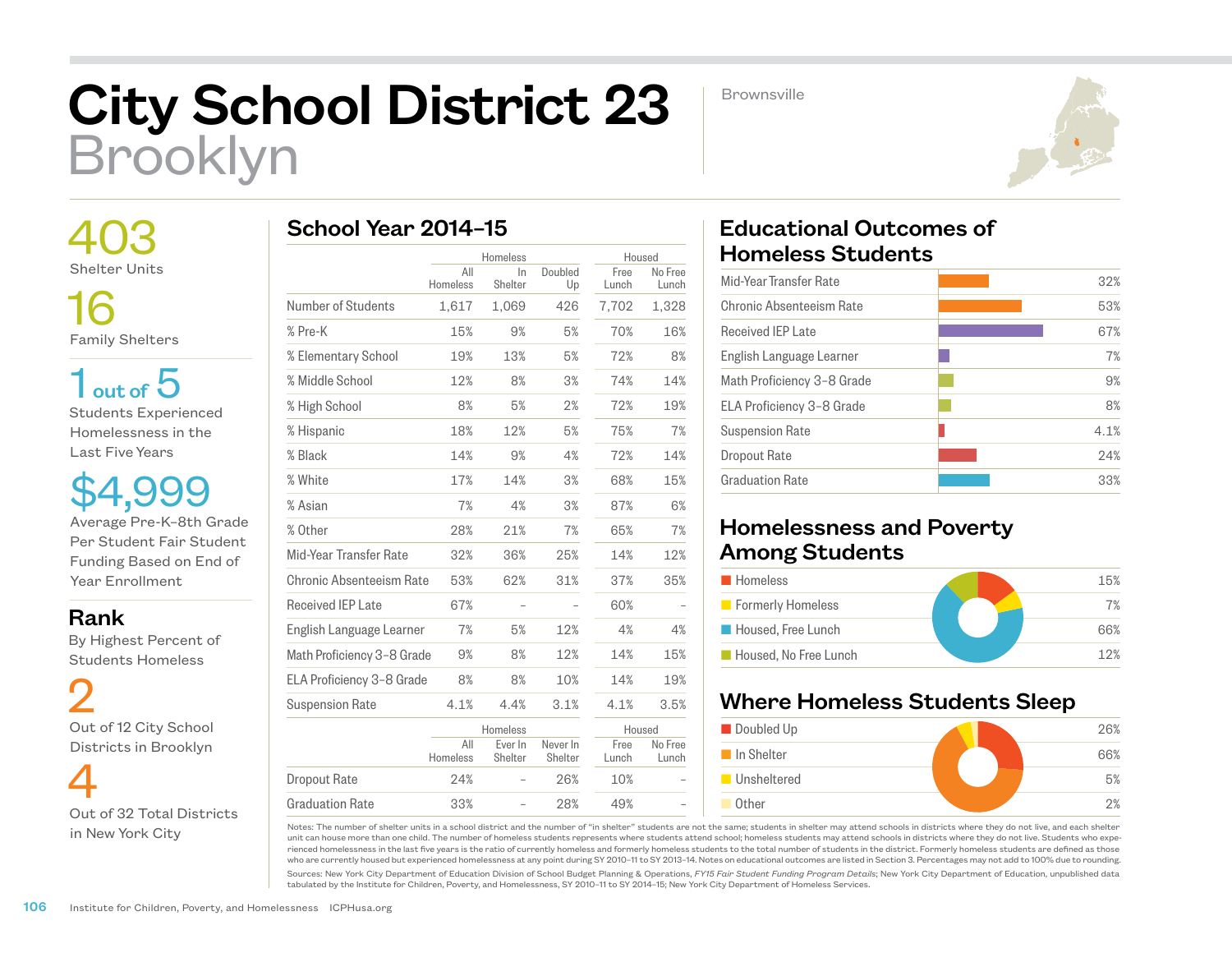# City School District 23 Brooklyn

**Brownsville** 



 403 Shelter Units 16

Family Shelters

 $1<sub>out of</sub> 5$ Students Experienced Homelessness in the Last Five Years

\$4,999 Average Pre-K–8th Grade Per Student Fair Student Funding Based on End of Year Enrollment

#### Rank

 By Highest Percent of Students Homeless

 2 Out of 12 City School Districts in Brooklyn

 4 Out of 32 Total Districts in New York City

# School Year 2014–15

|                            |                 | Homeless           |                     | Housed        |                  |
|----------------------------|-----------------|--------------------|---------------------|---------------|------------------|
|                            | All             | In.                | Doubled             | Free          | No Free          |
|                            | Homeless        | Shelter            | Up                  | Lunch         | Lunch            |
| Number of Students         | 1,617           | 1,069              | 426                 | 7,702         | 1,328            |
| % Pre-K                    | 15%             | 9%                 | 5%                  | 70%           | 16%              |
| % Elementary School        | 19%             | 13%                | 5%                  | 72%           | 8%               |
| % Middle School            | 12%             | 8%                 | 3%                  | 74%           | 14%              |
| % High School              | 8%              | 5%                 | 2%                  | 72%           | 19%              |
| % Hispanic                 | 18%             | 12%                | 5%                  | 75%           | 7%               |
| % Black                    | 14%             | 9%                 | 4%                  | 72%           | 14%              |
| % White                    | 17%             | 14%                | 3%                  | 68%           | 15%              |
| % Asian                    | 7%              | 4%                 | 3%                  | 87%           | 6%               |
| % Other                    | 28%             | 21%                | 7%                  | 65%           | 7%               |
| Mid-Year Transfer Rate     | 32%             | 36%                | 25%                 | 14%           | 12%              |
| Chronic Absenteeism Rate   | 53%             | 62%                | 31%                 | 37%           | 35%              |
| Received IEP Late          | 67%             |                    |                     | 60%           |                  |
| English Language Learner   | 7%              | 5%                 | 12%                 | 4%            | 4%               |
| Math Proficiency 3-8 Grade | 9%              | 8%                 | 12%                 | 14%           | 15%              |
| ELA Proficiency 3-8 Grade  | 8%              | 8%                 | 10%                 | 14%           | 19%              |
| <b>Suspension Rate</b>     | 4.1%            | 4.4%               | 3.1%                | 4.1%          | 3.5%             |
|                            | Homeless        |                    |                     | Housed        |                  |
|                            | All<br>Homeless | Ever In<br>Shelter | Never In<br>Shelter | Free<br>Lunch | No Free<br>Lunch |
| <b>Dropout Rate</b>        | 24%             |                    | 26%                 | 10%           |                  |
| <b>Graduation Rate</b>     | 33%             |                    | 28%                 | 49%           |                  |

# Educational Outcomes of Homeless Students

| 32%  |
|------|
| 53%  |
| 67%  |
| 7%   |
| 9%   |
| 8%   |
| 4.1% |
| 24%  |
| 33%  |
|      |

### Homelessness and Poverty Among Students

| <b>Homeless</b>       | 15% |
|-----------------------|-----|
| Formerly Homeless     | 7%  |
| Housed, Free Lunch    | 66% |
| Housed, No Free Lunch | 12% |

## Where Homeless Students Sleep



Notes: The number of shelter units in a school district and the number of "in shelter" students are not the same; students in shelter may attend schools in districts where they do not live, and each shelter unit can house more than one child. The number of homeless students represents where students attend school; homeless students may attend schools in districts where they do not live. Students who experienced homelessness in the last five years is the ratio of currently homeless and formerly homeless students to the total number of students in the district. Formerly homeless students are defined as those who are currently housed but experienced homelessness at any point during SY 2010–11 to SY 2013–14. Notes on educational outcomes are listed in Section 3. Percentages may not add to 100% due to rounding.

Sources: New York City Department of Education Division of School Budget Planning & Operations, *FY15 Fair Student Funding Program Details*; New York City Department of Education, unpublished data tabulated by the Institute for Children, Poverty, and Homelessness, SY 2010–11 to SY 2014–15; New York City Department of Homeless Services.